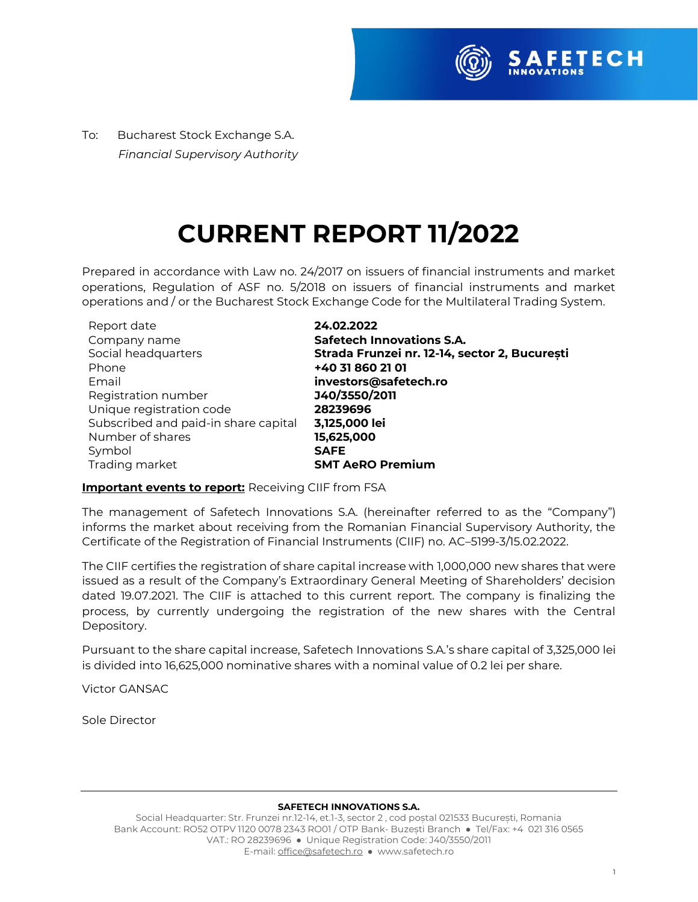

To:Bucharest Stock Exchange S.A.  *Financial Supervisory Authority*

## **CURRENT REPORT 11/2022**

Prepared in accordance with Law no. 24/2017 on issuers of financial instruments and market operations, Regulation of ASF no. 5/2018 on issuers of financial instruments and market operations and / or the Bucharest Stock Exchange Code for the Multilateral Trading System.

| Report date                          | 24.02.2022                                    |
|--------------------------------------|-----------------------------------------------|
| Company name                         | <b>Safetech Innovations S.A.</b>              |
| Social headquarters                  | Strada Frunzei nr. 12-14, sector 2, București |
| Phone                                | +40 31 860 21 01                              |
| Email                                | investors@safetech.ro                         |
| Registration number                  | J40/3550/2011                                 |
| Unique registration code             | 28239696                                      |
| Subscribed and paid-in share capital | 3,125,000 lei                                 |
| Number of shares                     | 15,625,000                                    |
| Symbol                               | <b>SAFE</b>                                   |
| Trading market                       | <b>SMT AeRO Premium</b>                       |

#### **Important events to report:** Receiving CIIF from FSA

The management of Safetech Innovations S.A. (hereinafter referred to as the "Company") informs the market about receiving from the Romanian Financial Supervisory Authority, the Certificate of the Registration of Financial Instruments (CIIF) no. AC–5199-3/15.02.2022.

The CIIF certifies the registration of share capital increase with 1,000,000 new shares that were issued as a result of the Company's Extraordinary General Meeting of Shareholders' decision dated 19.07.2021. The CIIF is attached to this current report. The company is finalizing the process, by currently undergoing the registration of the new shares with the Central Depository.

Pursuant to the share capital increase, Safetech Innovations S.A.'s share capital of 3,325,000 lei is divided into 16,625,000 nominative shares with a nominal value of 0.2 lei per share.

Victor GANSAC

Sole Director

#### **SAFETECH INNOVATIONS S.A.**

Social Headquarter: Str. Frunzei nr.12-14, et.1-3, sector 2 , cod poștal 021533 București, Romania Bank Account: RO52 OTPV 1120 0078 2343 RO01 / OTP Bank- Buzești Branch ● Tel/Fax: +4 021 316 0565 VAT.: RO 28239696 ● Unique Registration Code: J40/3550/2011 E-mail[: office@safetech.ro](mailto:office@safetech.ro) ● www.safetech.ro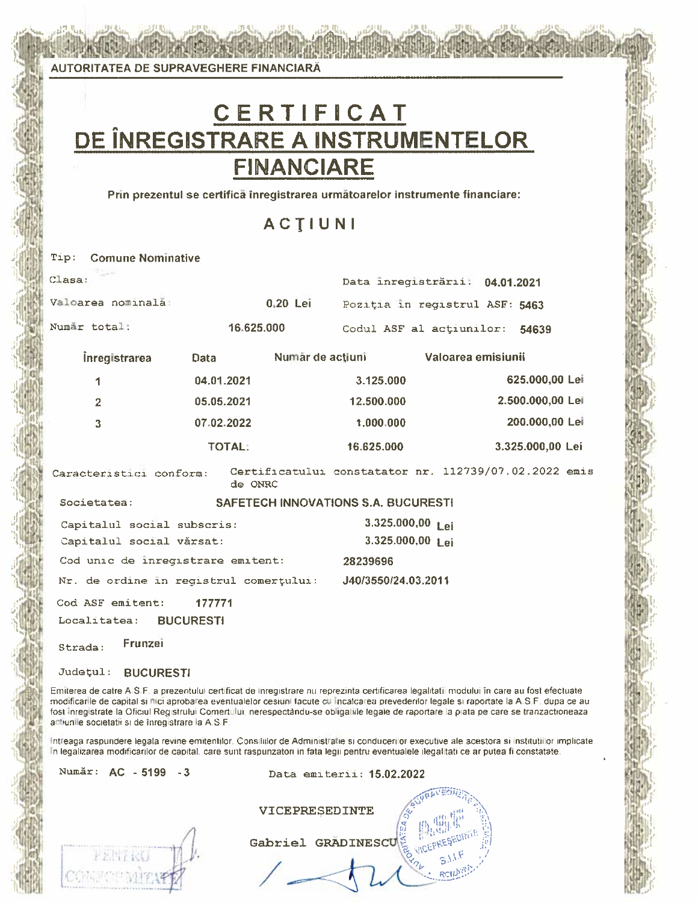AUTORITATEA DE SUPRAVEGHERE FINANCIARĂ

# C E R T I F I C A T<br>DE ÎNREGISTRARE A INSTRUMENTELOR **FINANCIARE**

Prin prezentul se certifică înregistrarea următoarelor instrumente financiare:

ACTIUNI

|        | <b>Tip:</b> Comune Nominative                          |                                   |          |                                                                               |                  |  |
|--------|--------------------------------------------------------|-----------------------------------|----------|-------------------------------------------------------------------------------|------------------|--|
| Clasa: | <b>Strategie</b>                                       |                                   |          | Data inregistrării. 04.01.2021                                                |                  |  |
|        | Valoarea nominală:                                     |                                   | 0.20 Lei | Poziția în registrul ASF: 5463                                                |                  |  |
|        | Numär total:                                           | 16.625.000                        |          | Codul ASF al actiunilor: 54639                                                |                  |  |
|        | <b>inregistrarea</b>                                   | <b>Data</b>                       |          | Număr de acțiuni valoarea emisiunii                                           |                  |  |
|        | 1                                                      | 04.01.2021                        |          | 3.125.000                                                                     | 625.000,00 Lei   |  |
|        | $\overline{2}$                                         | 05.05.2021                        |          | 12.500.000                                                                    | 2.500.000,00 Lei |  |
|        | $\overline{3}$                                         | 07.02.2022                        |          | 1.000.000                                                                     | 200.000,00 Lei   |  |
|        |                                                        | <b>TOTAL:</b>                     |          | 16.625.000                                                                    | 3.325.000,00 Lei |  |
|        |                                                        | de ONRC                           |          | Caracteristici conform: Certificatului constatator nr. 112739/07.02.2022 emis |                  |  |
|        | Societatea:                                            |                                   |          | <b>SAFETECH INNOVATIONS S.A. BUCURESTI</b>                                    |                  |  |
|        | Capitalul social subscris:<br>Capitalul social vărsat: |                                   |          | 3.325.000,00 Lei<br>3.325.000,00 Lei                                          |                  |  |
|        |                                                        | Cod unic de inregistrare emitent: |          | 28239696                                                                      |                  |  |
|        |                                                        |                                   |          | Nr. de ordine în registrul comerțului: 140/3550/24.03.2011                    |                  |  |
|        | Cod ASF emitent:<br>Localitatea: BUCURESTI             | 177771                            |          |                                                                               |                  |  |
|        | Frunzei<br>$Q + r = A \cdot r$                         |                                   |          |                                                                               |                  |  |

#### Județul: BUCURESTI

Emiterea de catre A.S.F. a prezentului certificat de inregistrare nu reprezinta certificarea legalitatii modului în care au fost efectuate modificarlle de capital si nici aprobarea eventualelor cesiuni facute cu incalcarea prevederifor legale si raportate la A.S.F. dupa ce au fost inregistrate la Oficiul Registrului Comertului, nerespectându-se obligatiile legale de raportare la piata pe care se tranzactioneaza. actiunile societatii si de înregistrare la A.S.F.

Intreaga raspundere legala revine emitentilor, Consiliilor de Administratie si conducerilor executive ale acestora si institutiilor implicate In legalizarea modificarilor de capital, care sunt raspunzatori în fata legii pentru eventualele ilegalitati ce ar putea fi constatate.

Număr: AC - 5199 - 3

Data emiterii: 15.02.2022

| <b>VICEPRESEDINTE</b> |                     |  |  |
|-----------------------|---------------------|--|--|
|                       | Gabriel GRADINESCUE |  |  |
|                       |                     |  |  |